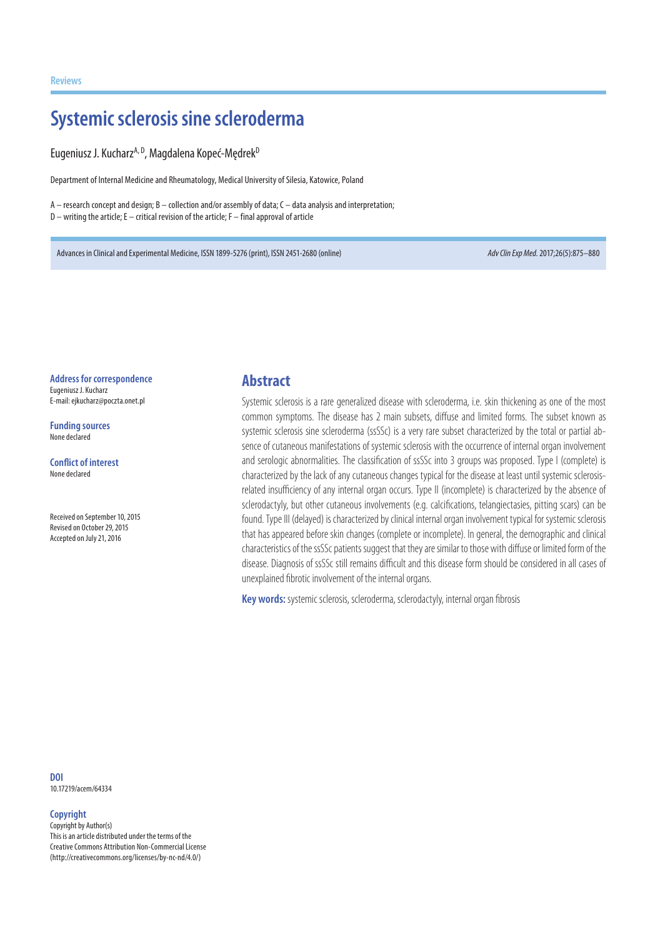# **Systemic sclerosis sine scleroderma**

Eugeniusz J. Kucharz<sup>A, D</sup>. Magdalena Kopeć-Mędrek<sup>D</sup>

Department of Internal Medicine and Rheumatology, Medical University of Silesia, Katowice, Poland

A – research concept and design; B – collection and/or assembly of data; C – data analysis and interpretation; D – writing the article; E – critical revision of the article; F – final approval of article

Advances in Clinical and Experimental Medicine, ISSN 1899-5276 (print), ISSN 2451-2680 (online) *Adv Clin Exp Med*. 2017;26(5):875–880

**Address for correspondence** Eugeniusz J. Kucharz

E-mail: ejkucharz@poczta.onet.pl

**Funding sources** None declared

**Conflict of interest** None declared

Received on September 10, 2015 Revised on October 29, 2015 Accepted on July 21, 2016

#### **Abstract**

Systemic sclerosis is a rare generalized disease with scleroderma, i.e. skin thickening as one of the most common symptoms. The disease has 2 main subsets, diffuse and limited forms. The subset known as systemic sclerosis sine scleroderma (ssSSc) is a very rare subset characterized by the total or partial absence of cutaneous manifestations of systemic sclerosis with the occurrence of internal organ involvement and serologic abnormalities. The classification of ssSSc into 3 groups was proposed. Type I (complete) is characterized by the lack of any cutaneous changes typical for the disease at least until systemic sclerosisrelated insufficiency of any internal organ occurs. Type II (incomplete) is characterized by the absence of sclerodactyly, but other cutaneous involvements (e.g. calcifications, telangiectasies, pitting scars) can be found. Type III (delayed) is characterized by clinical internal organ involvement typical for systemic sclerosis that has appeared before skin changes (complete or incomplete). In general, the demographic and clinical characteristics of the ssSSc patients suggest that they are similar to those with diffuse or limited form of the disease. Diagnosis of ssSSc still remains difficult and this disease form should be considered in all cases of unexplained fibrotic involvement of the internal organs.

**Key words:** systemic sclerosis, scleroderma, sclerodactyly, internal organ fibrosis

**DOI** 10.17219/acem/64334

#### **Copyright**

Copyright by Author(s) This is an article distributed under the terms of the Creative Commons Attribution Non-Commercial License (http://creativecommons.org/licenses/by-nc-nd/4.0/)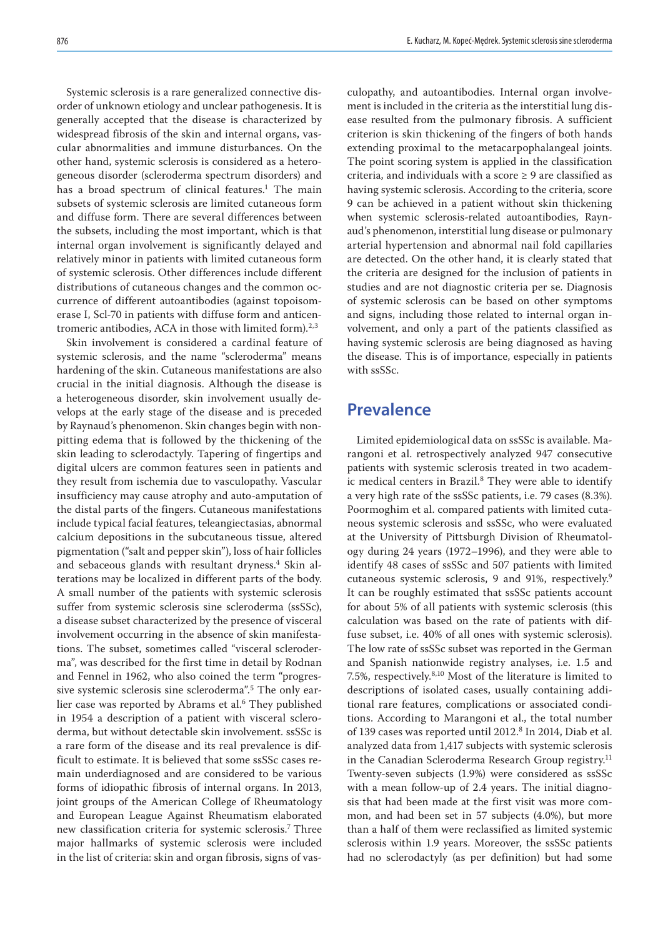Systemic sclerosis is a rare generalized connective disorder of unknown etiology and unclear pathogenesis. It is generally accepted that the disease is characterized by widespread fibrosis of the skin and internal organs, vascular abnormalities and immune disturbances. On the other hand, systemic sclerosis is considered as a heterogeneous disorder (scleroderma spectrum disorders) and has a broad spectrum of clinical features.<sup>1</sup> The main subsets of systemic sclerosis are limited cutaneous form and diffuse form. There are several differences between the subsets, including the most important, which is that internal organ involvement is significantly delayed and relatively minor in patients with limited cutaneous form of systemic sclerosis. Other differences include different distributions of cutaneous changes and the common occurrence of different autoantibodies (against topoisomerase I, Scl-70 in patients with diffuse form and anticentromeric antibodies, ACA in those with limited form).<sup>2,3</sup>

Skin involvement is considered a cardinal feature of systemic sclerosis, and the name "scleroderma" means hardening of the skin. Cutaneous manifestations are also crucial in the initial diagnosis. Although the disease is a heterogeneous disorder, skin involvement usually develops at the early stage of the disease and is preceded by Raynaud's phenomenon. Skin changes begin with nonpitting edema that is followed by the thickening of the skin leading to sclerodactyly. Tapering of fingertips and digital ulcers are common features seen in patients and they result from ischemia due to vasculopathy. Vascular insufficiency may cause atrophy and auto-amputation of the distal parts of the fingers. Cutaneous manifestations include typical facial features, teleangiectasias, abnormal calcium depositions in the subcutaneous tissue, altered pigmentation ("salt and pepper skin"), loss of hair follicles and sebaceous glands with resultant dryness.<sup>4</sup> Skin alterations may be localized in different parts of the body. A small number of the patients with systemic sclerosis suffer from systemic sclerosis sine scleroderma (ssSSc), a disease subset characterized by the presence of visceral involvement occurring in the absence of skin manifestations. The subset, sometimes called "visceral scleroderma", was described for the first time in detail by Rodnan and Fennel in 1962, who also coined the term "progressive systemic sclerosis sine scleroderma".<sup>5</sup> The only earlier case was reported by Abrams et al.<sup>6</sup> They published in 1954 a description of a patient with visceral scleroderma, but without detectable skin involvement. ssSSc is a rare form of the disease and its real prevalence is difficult to estimate. It is believed that some ssSSc cases remain underdiagnosed and are considered to be various forms of idiopathic fibrosis of internal organs. In 2013, joint groups of the American College of Rheumatology and European League Against Rheumatism elaborated new classification criteria for systemic sclerosis.7 Three major hallmarks of systemic sclerosis were included in the list of criteria: skin and organ fibrosis, signs of vasculopathy, and autoantibodies. Internal organ involvement is included in the criteria as the interstitial lung disease resulted from the pulmonary fibrosis. A sufficient criterion is skin thickening of the fingers of both hands extending proximal to the metacarpophalangeal joints. The point scoring system is applied in the classification criteria, and individuals with a score  $\geq$  9 are classified as having systemic sclerosis. According to the criteria, score 9 can be achieved in a patient without skin thickening when systemic sclerosis-related autoantibodies, Raynaud's phenomenon, interstitial lung disease or pulmonary arterial hypertension and abnormal nail fold capillaries are detected. On the other hand, it is clearly stated that the criteria are designed for the inclusion of patients in studies and are not diagnostic criteria per se. Diagnosis of systemic sclerosis can be based on other symptoms and signs, including those related to internal organ involvement, and only a part of the patients classified as having systemic sclerosis are being diagnosed as having the disease. This is of importance, especially in patients with ssSSc.

#### **Prevalence**

Limited epidemiological data on ssSSc is available. Marangoni et al. retrospectively analyzed 947 consecutive patients with systemic sclerosis treated in two academic medical centers in Brazil.<sup>8</sup> They were able to identify a very high rate of the ssSSc patients, i.e. 79 cases (8.3%). Poormoghim et al. compared patients with limited cutaneous systemic sclerosis and ssSSc, who were evaluated at the University of Pittsburgh Division of Rheumatology during 24 years (1972–1996), and they were able to identify 48 cases of ssSSc and 507 patients with limited cutaneous systemic sclerosis, 9 and 91%, respectively.<sup>9</sup> It can be roughly estimated that ssSSc patients account for about 5% of all patients with systemic sclerosis (this calculation was based on the rate of patients with diffuse subset, i.e. 40% of all ones with systemic sclerosis). The low rate of ssSSc subset was reported in the German and Spanish nationwide registry analyses, i.e. 1.5 and 7.5%, respectively.8,10 Most of the literature is limited to descriptions of isolated cases, usually containing additional rare features, complications or associated conditions. According to Marangoni et al., the total number of 139 cases was reported until 2012.<sup>8</sup> In 2014, Diab et al. analyzed data from 1,417 subjects with systemic sclerosis in the Canadian Scleroderma Research Group registry.<sup>11</sup> Twenty-seven subjects (1.9%) were considered as ssSSc with a mean follow-up of 2.4 years. The initial diagnosis that had been made at the first visit was more common, and had been set in 57 subjects (4.0%), but more than a half of them were reclassified as limited systemic sclerosis within 1.9 years. Moreover, the ssSSc patients had no sclerodactyly (as per definition) but had some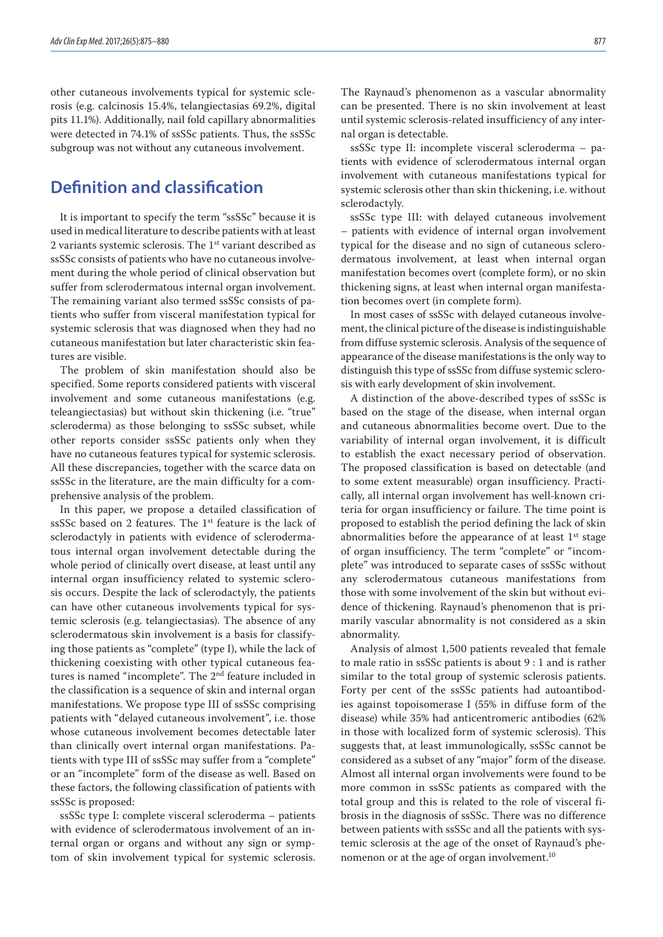other cutaneous involvements typical for systemic sclerosis (e.g. calcinosis 15.4%, telangiectasias 69.2%, digital pits 11.1%). Additionally, nail fold capillary abnormalities were detected in 74.1% of ssSSc patients. Thus, the ssSSc subgroup was not without any cutaneous involvement.

## **Definition and classification**

It is important to specify the term "ssSSc" because it is used in medical literature to describe patients with at least 2 variants systemic sclerosis. The 1<sup>st</sup> variant described as ssSSc consists of patients who have no cutaneous involvement during the whole period of clinical observation but suffer from sclerodermatous internal organ involvement. The remaining variant also termed ssSSc consists of patients who suffer from visceral manifestation typical for systemic sclerosis that was diagnosed when they had no cutaneous manifestation but later characteristic skin features are visible.

The problem of skin manifestation should also be specified. Some reports considered patients with visceral involvement and some cutaneous manifestations (e.g. teleangiectasias) but without skin thickening (i.e. "true" scleroderma) as those belonging to ssSSc subset, while other reports consider ssSSc patients only when they have no cutaneous features typical for systemic sclerosis. All these discrepancies, together with the scarce data on ssSSc in the literature, are the main difficulty for a comprehensive analysis of the problem.

In this paper, we propose a detailed classification of ssSSc based on 2 features. The 1<sup>st</sup> feature is the lack of sclerodactyly in patients with evidence of sclerodermatous internal organ involvement detectable during the whole period of clinically overt disease, at least until any internal organ insufficiency related to systemic sclerosis occurs. Despite the lack of sclerodactyly, the patients can have other cutaneous involvements typical for systemic sclerosis (e.g. telangiectasias). The absence of any sclerodermatous skin involvement is a basis for classifying those patients as "complete" (type I), while the lack of thickening coexisting with other typical cutaneous features is named "incomplete". The 2<sup>nd</sup> feature included in the classification is a sequence of skin and internal organ manifestations. We propose type III of ssSSc comprising patients with "delayed cutaneous involvement", i.e. those whose cutaneous involvement becomes detectable later than clinically overt internal organ manifestations. Patients with type III of ssSSc may suffer from a "complete" or an "incomplete" form of the disease as well. Based on these factors, the following classification of patients with ssSSc is proposed:

ssSSc type I: complete visceral scleroderma – patients with evidence of sclerodermatous involvement of an internal organ or organs and without any sign or symptom of skin involvement typical for systemic sclerosis.

The Raynaud's phenomenon as a vascular abnormality can be presented. There is no skin involvement at least until systemic sclerosis-related insufficiency of any internal organ is detectable.

ssSSc type II: incomplete visceral scleroderma – patients with evidence of sclerodermatous internal organ involvement with cutaneous manifestations typical for systemic sclerosis other than skin thickening, i.e. without sclerodactyly.

ssSSc type III: with delayed cutaneous involvement – patients with evidence of internal organ involvement typical for the disease and no sign of cutaneous sclerodermatous involvement, at least when internal organ manifestation becomes overt (complete form), or no skin thickening signs, at least when internal organ manifestation becomes overt (in complete form).

In most cases of ssSSc with delayed cutaneous involvement, the clinical picture of the disease is indistinguishable from diffuse systemic sclerosis. Analysis of the sequence of appearance of the disease manifestations is the only way to distinguish this type of ssSSc from diffuse systemic sclerosis with early development of skin involvement.

A distinction of the above-described types of ssSSc is based on the stage of the disease, when internal organ and cutaneous abnormalities become overt. Due to the variability of internal organ involvement, it is difficult to establish the exact necessary period of observation. The proposed classification is based on detectable (and to some extent measurable) organ insufficiency. Practically, all internal organ involvement has well-known criteria for organ insufficiency or failure. The time point is proposed to establish the period defining the lack of skin abnormalities before the appearance of at least 1<sup>st</sup> stage of organ insufficiency. The term "complete" or "incomplete" was introduced to separate cases of ssSSc without any sclerodermatous cutaneous manifestations from those with some involvement of the skin but without evidence of thickening. Raynaud's phenomenon that is primarily vascular abnormality is not considered as a skin abnormality.

Analysis of almost 1,500 patients revealed that female to male ratio in ssSSc patients is about 9 : 1 and is rather similar to the total group of systemic sclerosis patients. Forty per cent of the ssSSc patients had autoantibodies against topoisomerase I (55% in diffuse form of the disease) while 35% had anticentromeric antibodies (62% in those with localized form of systemic sclerosis). This suggests that, at least immunologically, ssSSc cannot be considered as a subset of any "major" form of the disease. Almost all internal organ involvements were found to be more common in ssSSc patients as compared with the total group and this is related to the role of visceral fibrosis in the diagnosis of ssSSc. There was no difference between patients with ssSSc and all the patients with systemic sclerosis at the age of the onset of Raynaud's phenomenon or at the age of organ involvement.<sup>10</sup>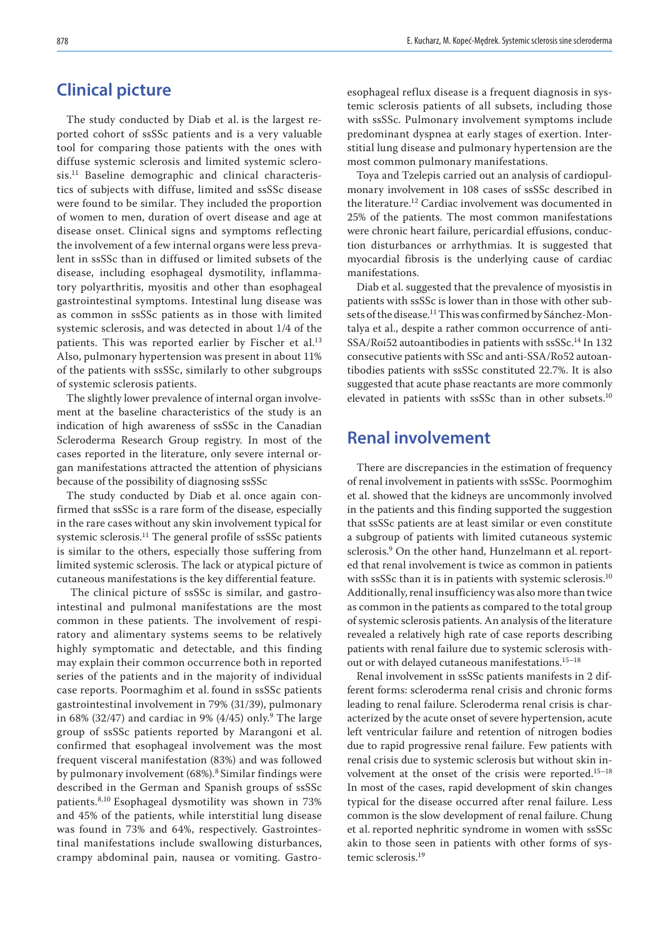### **Clinical picture**

The study conducted by Diab et al. is the largest reported cohort of ssSSc patients and is a very valuable tool for comparing those patients with the ones with diffuse systemic sclerosis and limited systemic sclerosis.11 Baseline demographic and clinical characteristics of subjects with diffuse, limited and ssSSc disease were found to be similar. They included the proportion of women to men, duration of overt disease and age at disease onset. Clinical signs and symptoms reflecting the involvement of a few internal organs were less prevalent in ssSSc than in diffused or limited subsets of the disease, including esophageal dysmotility, inflammatory polyarthritis, myositis and other than esophageal gastrointestinal symptoms. Intestinal lung disease was as common in ssSSc patients as in those with limited systemic sclerosis, and was detected in about 1/4 of the patients. This was reported earlier by Fischer et al.<sup>13</sup> Also, pulmonary hypertension was present in about 11% of the patients with ssSSc, similarly to other subgroups of systemic sclerosis patients.

The slightly lower prevalence of internal organ involvement at the baseline characteristics of the study is an indication of high awareness of ssSSc in the Canadian Scleroderma Research Group registry. In most of the cases reported in the literature, only severe internal organ manifestations attracted the attention of physicians because of the possibility of diagnosing ssSSc

The study conducted by Diab et al. once again confirmed that ssSSc is a rare form of the disease, especially in the rare cases without any skin involvement typical for systemic sclerosis.11 The general profile of ssSSc patients is similar to the others, especially those suffering from limited systemic sclerosis. The lack or atypical picture of cutaneous manifestations is the key differential feature.

 The clinical picture of ssSSc is similar, and gastrointestinal and pulmonal manifestations are the most common in these patients. The involvement of respiratory and alimentary systems seems to be relatively highly symptomatic and detectable, and this finding may explain their common occurrence both in reported series of the patients and in the majority of individual case reports. Poormaghim et al. found in ssSSc patients gastrointestinal involvement in 79% (31/39), pulmonary in 68% (32/47) and cardiac in 9% (4/45) only.<sup>9</sup> The large group of ssSSc patients reported by Marangoni et al. confirmed that esophageal involvement was the most frequent visceral manifestation (83%) and was followed by pulmonary involvement (68%).<sup>8</sup> Similar findings were described in the German and Spanish groups of ssSSc patients.8,10 Esophageal dysmotility was shown in 73% and 45% of the patients, while interstitial lung disease was found in 73% and 64%, respectively. Gastrointestinal manifestations include swallowing disturbances, crampy abdominal pain, nausea or vomiting. Gastroesophageal reflux disease is a frequent diagnosis in systemic sclerosis patients of all subsets, including those with ssSSc. Pulmonary involvement symptoms include predominant dyspnea at early stages of exertion. Interstitial lung disease and pulmonary hypertension are the most common pulmonary manifestations.

Toya and Tzelepis carried out an analysis of cardiopulmonary involvement in 108 cases of ssSSc described in the literature.12 Cardiac involvement was documented in 25% of the patients. The most common manifestations were chronic heart failure, pericardial effusions, conduction disturbances or arrhythmias. It is suggested that myocardial fibrosis is the underlying cause of cardiac manifestations.

Diab et al. suggested that the prevalence of myosistis in patients with ssSSc is lower than in those with other subsets of the disease.11 This was confirmed by Sánchez-Montalya et al., despite a rather common occurrence of anti-SSA/Roi52 autoantibodies in patients with ssSSc.14 In 132 consecutive patients with SSc and anti-SSA/Ro52 autoantibodies patients with ssSSc constituted 22.7%. It is also suggested that acute phase reactants are more commonly elevated in patients with ssSSc than in other subsets.<sup>10</sup>

### **Renal involvement**

There are discrepancies in the estimation of frequency of renal involvement in patients with ssSSc. Poormoghim et al. showed that the kidneys are uncommonly involved in the patients and this finding supported the suggestion that ssSSc patients are at least similar or even constitute a subgroup of patients with limited cutaneous systemic sclerosis.9 On the other hand, Hunzelmann et al.reported that renal involvement is twice as common in patients with ssSSc than it is in patients with systemic sclerosis.<sup>10</sup> Additionally, renal insufficiency was also more than twice as common in the patients as compared to the total group of systemic sclerosis patients. An analysis of the literature revealed a relatively high rate of case reports describing patients with renal failure due to systemic sclerosis without or with delayed cutaneous manifestations.<sup>15-18</sup>

Renal involvement in ssSSc patients manifests in 2 different forms: scleroderma renal crisis and chronic forms leading to renal failure. Scleroderma renal crisis is characterized by the acute onset of severe hypertension, acute left ventricular failure and retention of nitrogen bodies due to rapid progressive renal failure. Few patients with renal crisis due to systemic sclerosis but without skin involvement at the onset of the crisis were reported.15–18 In most of the cases, rapid development of skin changes typical for the disease occurred after renal failure. Less common is the slow development of renal failure. Chung et al. reported nephritic syndrome in women with ssSSc akin to those seen in patients with other forms of systemic sclerosis.19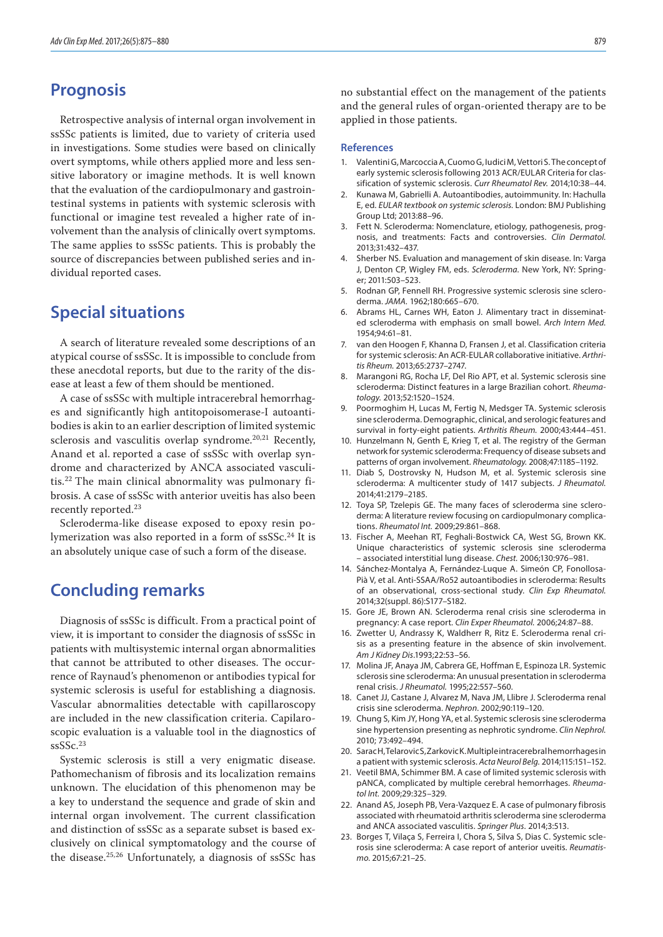### **Prognosis**

Retrospective analysis of internal organ involvement in ssSSc patients is limited, due to variety of criteria used in investigations. Some studies were based on clinically overt symptoms, while others applied more and less sensitive laboratory or imagine methods. It is well known that the evaluation of the cardiopulmonary and gastrointestinal systems in patients with systemic sclerosis with functional or imagine test revealed a higher rate of involvement than the analysis of clinically overt symptoms. The same applies to ssSSc patients. This is probably the source of discrepancies between published series and individual reported cases.

#### **Special situations**

A search of literature revealed some descriptions of an atypical course of ssSSc. It is impossible to conclude from these anecdotal reports, but due to the rarity of the disease at least a few of them should be mentioned.

A case of ssSSc with multiple intracerebral hemorrhages and significantly high antitopoisomerase-I autoantibodies is akin to an earlier description of limited systemic sclerosis and vasculitis overlap syndrome.<sup>20,21</sup> Recently, Anand et al. reported a case of ssSSc with overlap syndrome and characterized by ANCA associated vasculitis.22 The main clinical abnormality was pulmonary fibrosis. A case of ssSSc with anterior uveitis has also been recently reported.<sup>23</sup>

Scleroderma-like disease exposed to epoxy resin polymerization was also reported in a form of ssSSc.<sup>24</sup> It is an absolutely unique case of such a form of the disease.

#### **Concluding remarks**

Diagnosis of ssSSc is difficult. From a practical point of view, it is important to consider the diagnosis of ssSSc in patients with multisystemic internal organ abnormalities that cannot be attributed to other diseases. The occurrence of Raynaud's phenomenon or antibodies typical for systemic sclerosis is useful for establishing a diagnosis. Vascular abnormalities detectable with capillaroscopy are included in the new classification criteria. Capilaroscopic evaluation is a valuable tool in the diagnostics of ssSSc.<sup>23</sup>

Systemic sclerosis is still a very enigmatic disease. Pathomechanism of fibrosis and its localization remains unknown. The elucidation of this phenomenon may be a key to understand the sequence and grade of skin and internal organ involvement. The current classification and distinction of ssSSc as a separate subset is based exclusively on clinical symptomatology and the course of the disease.25,26 Unfortunately, a diagnosis of ssSSc has

no substantial effect on the management of the patients and the general rules of organ-oriented therapy are to be applied in those patients.

#### **References**

- 1. Valentini G, Marcoccia A, Cuomo G, Iudici M, Vettori S. The concept of early systemic sclerosis following 2013 ACR/EULAR Criteria for classification of systemic sclerosis. *Curr Rheumatol Rev.* 2014;10:38–44.
- 2. Kunawa M, Gabrielli A. Autoantibodies, autoimmunity. In: Hachulla E, ed. *EULAR textbook on systemic sclerosis.* London: BMJ Publishing Group Ltd; 2013:88–96.
- 3. Fett N. Scleroderma: Nomenclature, etiology, pathogenesis, prognosis, and treatments: Facts and controversies. *Clin Dermatol.* 2013;31:432–437.
- Sherber NS. Evaluation and management of skin disease. In: Varga J, Denton CP, Wigley FM, eds. *Scleroderma.* New York, NY: Springer; 2011:503–523.
- 5. Rodnan GP, Fennell RH. Progressive systemic sclerosis sine scleroderma. *JAMA.* 1962;180:665–670.
- 6. Abrams HL, Carnes WH, Eaton J. Alimentary tract in disseminated scleroderma with emphasis on small bowel. *Arch Intern Med.* 1954;94:61–81.
- 7. van den Hoogen F, Khanna D, Fransen J, et al. Classification criteria for systemic sclerosis: An ACR-EULAR collaborative initiative. *Arthritis Rheum.* 2013;65:2737–2747.
- 8. Marangoni RG, Rocha LF, Del Rio APT, et al. Systemic sclerosis sine scleroderma: Distinct features in a large Brazilian cohort. *Rheumatology.* 2013;52:1520–1524.
- 9. Poormoghim H, Lucas M, Fertig N, Medsger TA. Systemic sclerosis sine scleroderma. Demographic, clinical, and serologic features and survival in forty-eight patients. *Arthritis Rheum.* 2000;43:444–451.
- 10. Hunzelmann N, Genth E, Krieg T, et al. The registry of the German network for systemic scleroderma: Frequency of disease subsets and patterns of organ involvement. *Rheumatology.* 2008;47:1185–1192.
- 11. Diab S, Dostrovsky N, Hudson M, et al. Systemic sclerosis sine scleroderma: A multicenter study of 1417 subjects. *J Rheumatol.*  2014;41:2179–2185.
- 12. Toya SP, Tzelepis GE. The many faces of scleroderma sine scleroderma: A literature review focusing on cardiopulmonary complications. *Rheumatol Int.* 2009;29:861–868.
- 13. Fischer A, Meehan RT, Feghali-Bostwick CA, West SG, Brown KK. Unique characteristics of systemic sclerosis sine scleroderma – associated interstitial lung disease. *Chest.* 2006;130:976–981.
- 14. Sánchez-Montalya A, Fernández-Luque A. Simeón CP, Fonollosa-Pià V, et al. Anti-SSAA/Ro52 autoantibodies in scleroderma: Results of an observational, cross-sectional study. *Clin Exp Rheumatol.* 2014;32(suppl. 86):S177–S182.
- 15. Gore JE, Brown AN. Scleroderma renal crisis sine scleroderma in pregnancy: A case report*. Clin Exper Rheumatol.* 2006;24:87–88.
- 16. Zwetter U, Andrassy K, Waldherr R, Ritz E. Scleroderma renal crisis as a presenting feature in the absence of skin involvement. *Am J Kidney Dis*.1993;22:53–56.
- 17. Molina JF, Anaya JM, Cabrera GE, Hoffman E, Espinoza LR. Systemic sclerosis sine scleroderma: An unusual presentation in scleroderma renal crisis. *J Rheumatol.* 1995;22:557–560.
- 18. Canet JJ, Castane J, Alvarez M, Nava JM, Llibre J. Scleroderma renal crisis sine scleroderma. *Nephron*. 2002;90:119–120.
- 19. Chung S, Kim JY, Hong YA, et al. Systemic sclerosis sine scleroderma sine hypertension presenting as nephrotic syndrome. *Clin Nephrol.* 2010; 73:492–494.
- 20. SaracH, Telarovic S, Zarkovic K. Multiple intracerebral hemorrhages in a patient with systemic sclerosis. *Acta Neurol Belg.* 2014;115:151–152.
- 21. Veetil BMA, Schimmer BM. A case of limited systemic sclerosis with pANCA, complicated by multiple cerebral hemorrhages. *Rheumatol Int.* 2009;29:325–329.
- 22. Anand AS, Joseph PB, Vera-Vazquez E. A case of pulmonary fibrosis associated with rheumatoid arthritis scleroderma sine scleroderma and ANCA associated vasculitis. *Springer Plus.* 2014;3:513.
- 23. Borges T, Vilaça S, Ferreira I, Chora S, Silva S, Dias C. Systemic sclerosis sine scleroderma: A case report of anterior uveitis*. Reumatismo.* 2015;67:21–25.